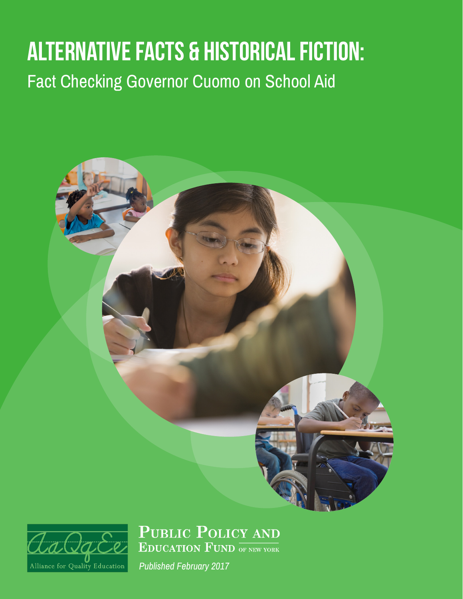# Alternative Facts & Historical Fiction: Fact Checking Governor Cuomo on School Aid





PUBLIC POLICY AND EDUCATION FUND OF NEW YORK

*Published February 2017*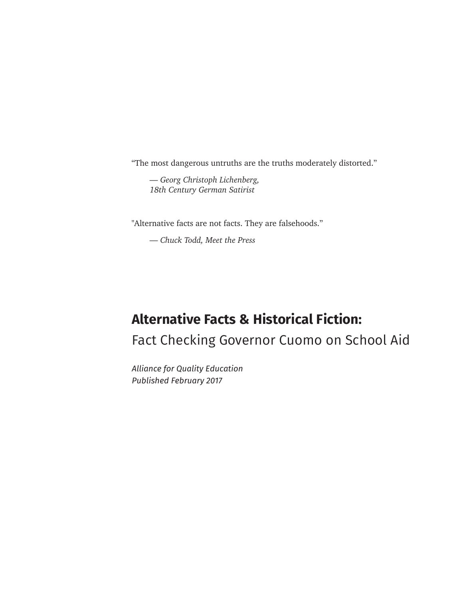"The most dangerous untruths are the truths moderately distorted."

*— Georg Christoph Lichenberg, 18th Century German Satirist*

"Alternative facts are not facts. They are falsehoods."

*— Chuck Todd, Meet the Press*

# **Alternative Facts & Historical Fiction:** Fact Checking Governor Cuomo on School Aid

*Alliance for Quality Education Published February 2017*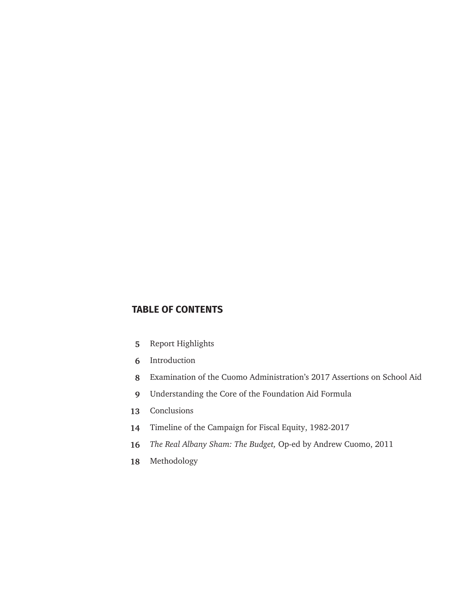# **TABLE OF CONTENTS**

- Report Highlights **5**
- Introduction **6**
- Examination of the Cuomo Administration's 2017 Assertions on School Aid **8**
- Understanding the Core of the Foundation Aid Formula **9**
- Conclusions **13**
- Timeline of the Campaign for Fiscal Equity, 1982-2017 **14**
- *The Real Albany Sham: The Budget,* Op-ed by Andrew Cuomo, 2011 **16**
- Methodology **18**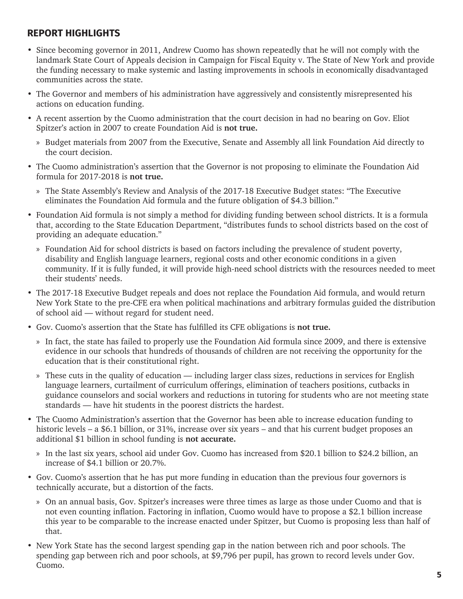# **REPORT HIGHLIGHTS**

- Since becoming governor in 2011, Andrew Cuomo has shown repeatedly that he will not comply with the landmark State Court of Appeals decision in Campaign for Fiscal Equity v. The State of New York and provide the funding necessary to make systemic and lasting improvements in schools in economically disadvantaged communities across the state.
- The Governor and members of his administration have aggressively and consistently misrepresented his actions on education funding.
- A recent assertion by the Cuomo administration that the court decision in had no bearing on Gov. Eliot Spitzer's action in 2007 to create Foundation Aid is **not true.**
	- » Budget materials from 2007 from the Executive, Senate and Assembly all link Foundation Aid directly to the court decision.
- The Cuomo administration's assertion that the Governor is not proposing to eliminate the Foundation Aid formula for 2017-2018 is **not true.** 
	- » The State Assembly's Review and Analysis of the 2017-18 Executive Budget states: "The Executive eliminates the Foundation Aid formula and the future obligation of \$4.3 billion."
- Foundation Aid formula is not simply a method for dividing funding between school districts. It is a formula that, according to the State Education Department, "distributes funds to school districts based on the cost of providing an adequate education."
	- » Foundation Aid for school districts is based on factors including the prevalence of student poverty, disability and English language learners, regional costs and other economic conditions in a given community. If it is fully funded, it will provide high-need school districts with the resources needed to meet their students' needs.
- The 2017-18 Executive Budget repeals and does not replace the Foundation Aid formula, and would return New York State to the pre-CFE era when political machinations and arbitrary formulas guided the distribution of school aid — without regard for student need.
- Gov. Cuomo's assertion that the State has fulfilled its CFE obligations is **not true.**
	- » In fact, the state has failed to properly use the Foundation Aid formula since 2009, and there is extensive evidence in our schools that hundreds of thousands of children are not receiving the opportunity for the education that is their constitutional right.
	- » These cuts in the quality of education including larger class sizes, reductions in services for English language learners, curtailment of curriculum offerings, elimination of teachers positions, cutbacks in guidance counselors and social workers and reductions in tutoring for students who are not meeting state standards — have hit students in the poorest districts the hardest.
- The Cuomo Administration's assertion that the Governor has been able to increase education funding to historic levels – a \$6.1 billion, or 31%, increase over six years – and that his current budget proposes an additional \$1 billion in school funding is **not accurate.**
	- » In the last six years, school aid under Gov. Cuomo has increased from \$20.1 billion to \$24.2 billion, an increase of \$4.1 billion or 20.7%.
- Gov. Cuomo's assertion that he has put more funding in education than the previous four governors is technically accurate, but a distortion of the facts.
	- » On an annual basis, Gov. Spitzer's increases were three times as large as those under Cuomo and that is not even counting inflation. Factoring in inflation, Cuomo would have to propose a \$2.1 billion increase this year to be comparable to the increase enacted under Spitzer, but Cuomo is proposing less than half of that.
- New York State has the second largest spending gap in the nation between rich and poor schools. The spending gap between rich and poor schools, at \$9,796 per pupil, has grown to record levels under Gov. Cuomo.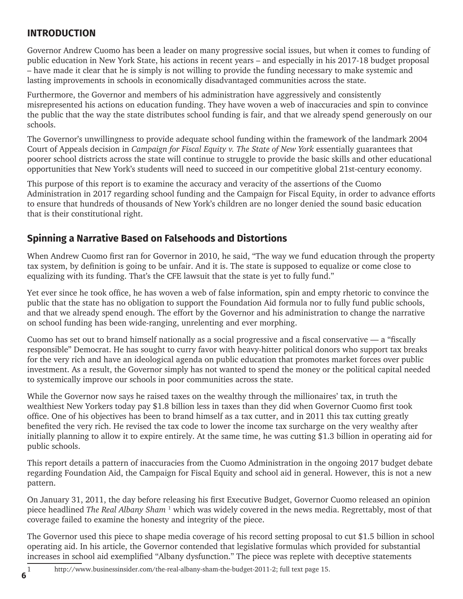# **INTRODUCTION**

Governor Andrew Cuomo has been a leader on many progressive social issues, but when it comes to funding of public education in New York State, his actions in recent years – and especially in his 2017-18 budget proposal – have made it clear that he is simply is not willing to provide the funding necessary to make systemic and lasting improvements in schools in economically disadvantaged communities across the state.

Furthermore, the Governor and members of his administration have aggressively and consistently misrepresented his actions on education funding. They have woven a web of inaccuracies and spin to convince the public that the way the state distributes school funding is fair, and that we already spend generously on our schools.

The Governor's unwillingness to provide adequate school funding within the framework of the landmark 2004 Court of Appeals decision in *Campaign for Fiscal Equity v. The State of New York* essentially guarantees that poorer school districts across the state will continue to struggle to provide the basic skills and other educational opportunities that New York's students will need to succeed in our competitive global 21st-century economy.

This purpose of this report is to examine the accuracy and veracity of the assertions of the Cuomo Administration in 2017 regarding school funding and the Campaign for Fiscal Equity, in order to advance efforts to ensure that hundreds of thousands of New York's children are no longer denied the sound basic education that is their constitutional right.

# **Spinning a Narrative Based on Falsehoods and Distortions**

When Andrew Cuomo first ran for Governor in 2010, he said, "The way we fund education through the property tax system, by definition is going to be unfair. And it is. The state is supposed to equalize or come close to equalizing with its funding. That's the CFE lawsuit that the state is yet to fully fund."

Yet ever since he took office, he has woven a web of false information, spin and empty rhetoric to convince the public that the state has no obligation to support the Foundation Aid formula nor to fully fund public schools, and that we already spend enough. The effort by the Governor and his administration to change the narrative on school funding has been wide-ranging, unrelenting and ever morphing.

Cuomo has set out to brand himself nationally as a social progressive and a fiscal conservative — a "fiscally responsible" Democrat. He has sought to curry favor with heavy-hitter political donors who support tax breaks for the very rich and have an ideological agenda on public education that promotes market forces over public investment. As a result, the Governor simply has not wanted to spend the money or the political capital needed to systemically improve our schools in poor communities across the state.

While the Governor now says he raised taxes on the wealthy through the millionaires' tax, in truth the wealthiest New Yorkers today pay \$1.8 billion less in taxes than they did when Governor Cuomo first took office. One of his objectives has been to brand himself as a tax cutter, and in 2011 this tax cutting greatly benefited the very rich. He revised the tax code to lower the income tax surcharge on the very wealthy after initially planning to allow it to expire entirely. At the same time, he was cutting \$1.3 billion in operating aid for public schools.

This report details a pattern of inaccuracies from the Cuomo Administration in the ongoing 2017 budget debate regarding Foundation Aid, the Campaign for Fiscal Equity and school aid in general. However, this is not a new pattern.

On January 31, 2011, the day before releasing his first Executive Budget, Governor Cuomo released an opinion piece headlined *The Real Albany Sham* 1 which was widely covered in the news media. Regrettably, most of that coverage failed to examine the honesty and integrity of the piece.

The Governor used this piece to shape media coverage of his record setting proposal to cut \$1.5 billion in school operating aid. In his article, the Governor contended that legislative formulas which provided for substantial increases in school aid exemplified "Albany dysfunction." The piece was replete with deceptive statements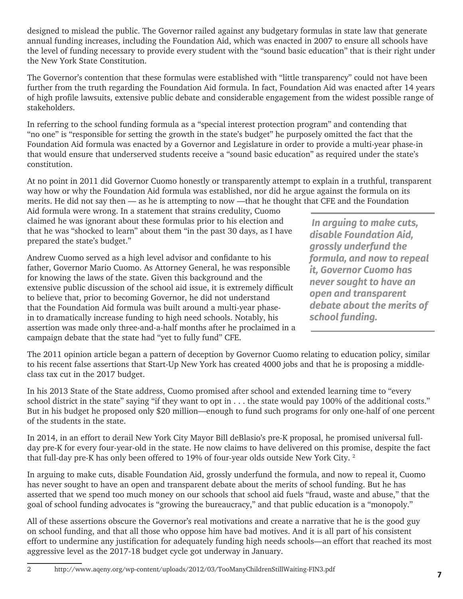designed to mislead the public. The Governor railed against any budgetary formulas in state law that generate annual funding increases, including the Foundation Aid, which was enacted in 2007 to ensure all schools have the level of funding necessary to provide every student with the "sound basic education" that is their right under the New York State Constitution.

The Governor's contention that these formulas were established with "little transparency" could not have been further from the truth regarding the Foundation Aid formula. In fact, Foundation Aid was enacted after 14 years of high profile lawsuits, extensive public debate and considerable engagement from the widest possible range of stakeholders.

In referring to the school funding formula as a "special interest protection program" and contending that "no one" is "responsible for setting the growth in the state's budget" he purposely omitted the fact that the Foundation Aid formula was enacted by a Governor and Legislature in order to provide a multi-year phase-in that would ensure that underserved students receive a "sound basic education" as required under the state's constitution.

At no point in 2011 did Governor Cuomo honestly or transparently attempt to explain in a truthful, transparent way how or why the Foundation Aid formula was established, nor did he argue against the formula on its merits. He did not say then — as he is attempting to now —that he thought that CFE and the Foundation

Aid formula were wrong. In a statement that strains credulity, Cuomo claimed he was ignorant about these formulas prior to his election and that he was "shocked to learn" about them "in the past 30 days, as I have prepared the state's budget."

Andrew Cuomo served as a high level advisor and confidante to his father, Governor Mario Cuomo. As Attorney General, he was responsible for knowing the laws of the state. Given this background and the extensive public discussion of the school aid issue, it is extremely difficult to believe that, prior to becoming Governor, he did not understand that the Foundation Aid formula was built around a multi-year phasein to dramatically increase funding to high need schools. Notably, his assertion was made only three-and-a-half months after he proclaimed in a campaign debate that the state had "yet to fully fund" CFE.

 *In arguing to make cuts, disable Foundation Aid, grossly underfund the formula, and now to repeal it, Governor Cuomo has never sought to have an open and transparent debate about the merits of school funding.*

The 2011 opinion article began a pattern of deception by Governor Cuomo relating to education policy, similar to his recent false assertions that Start-Up New York has created 4000 jobs and that he is proposing a middleclass tax cut in the 2017 budget.

In his 2013 State of the State address, Cuomo promised after school and extended learning time to "every school district in the state" saying "if they want to opt in . . . the state would pay 100% of the additional costs." But in his budget he proposed only \$20 million—enough to fund such programs for only one-half of one percent of the students in the state.

In 2014, in an effort to derail New York City Mayor Bill deBlasio's pre-K proposal, he promised universal fullday pre-K for every four-year-old in the state. He now claims to have delivered on this promise, despite the fact that full-day pre-K has only been offered to 19% of four-year olds outside New York City. 2

In arguing to make cuts, disable Foundation Aid, grossly underfund the formula, and now to repeal it, Cuomo has never sought to have an open and transparent debate about the merits of school funding. But he has asserted that we spend too much money on our schools that school aid fuels "fraud, waste and abuse," that the goal of school funding advocates is "growing the bureaucracy," and that public education is a "monopoly."

All of these assertions obscure the Governor's real motivations and create a narrative that he is the good guy on school funding, and that all those who oppose him have bad motives. And it is all part of his consistent effort to undermine any justification for adequately funding high needs schools—an effort that reached its most aggressive level as the 2017-18 budget cycle got underway in January.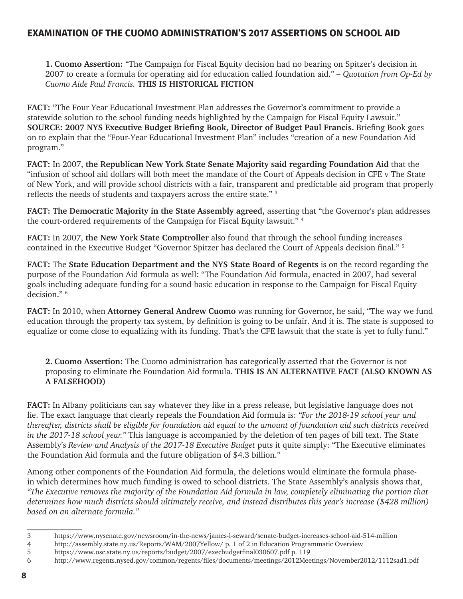## **EXAMINATION OF THE CUOMO ADMINISTRATION'S 2017 ASSERTIONS ON SCHOOL AID**

**1. Cuomo Assertion:** "The Campaign for Fiscal Equity decision had no bearing on Spitzer's decision in 2007 to create a formula for operating aid for education called foundation aid." *– Quotation from Op-Ed by Cuomo Aide Paul Francis.* **THIS IS HISTORICAL FICTION**

**FACT:** "The Four Year Educational Investment Plan addresses the Governor's commitment to provide a statewide solution to the school funding needs highlighted by the Campaign for Fiscal Equity Lawsuit." **SOURCE: 2007 NYS Executive Budget Briefing Book, Director of Budget Paul Francis.** Briefing Book goes on to explain that the "Four-Year Educational Investment Plan" includes "creation of a new Foundation Aid program."

**FACT:** In 2007, **the Republican New York State Senate Majority said regarding Foundation Aid** that the "infusion of school aid dollars will both meet the mandate of the Court of Appeals decision in CFE v The State of New York, and will provide school districts with a fair, transparent and predictable aid program that properly reflects the needs of students and taxpayers across the entire state." <sup>3</sup>

**FACT: The Democratic Majority in the State Assembly agreed,** asserting that "the Governor's plan addresses the court-ordered requirements of the Campaign for Fiscal Equity lawsuit."<sup>4</sup>

**FACT:** In 2007, **the New York State Comptroller** also found that through the school funding increases contained in the Executive Budget "Governor Spitzer has declared the Court of Appeals decision final." <sup>5</sup>

**FACT:** The **State Education Department and the NYS State Board of Regents** is on the record regarding the purpose of the Foundation Aid formula as well: "The Foundation Aid formula, enacted in 2007, had several goals including adequate funding for a sound basic education in response to the Campaign for Fiscal Equity decision." 6

**FACT:** In 2010, when **Attorney General Andrew Cuomo** was running for Governor, he said, "The way we fund education through the property tax system, by definition is going to be unfair. And it is. The state is supposed to equalize or come close to equalizing with its funding. That's the CFE lawsuit that the state is yet to fully fund."

**2. Cuomo Assertion:** The Cuomo administration has categorically asserted that the Governor is not proposing to eliminate the Foundation Aid formula. **THIS IS AN ALTERNATIVE FACT (ALSO KNOWN AS A FALSEHOOD)**

**FACT:** In Albany politicians can say whatever they like in a press release, but legislative language does not lie. The exact language that clearly repeals the Foundation Aid formula is: *"For the 2018-19 school year and thereafter, districts shall be eligible for foundation aid equal to the amount of foundation aid such districts received in the 2017-18 school year."* This language is accompanied by the deletion of ten pages of bill text. The State Assembly's *Review and Analysis of the 2017-18 Executive Budget* puts it quite simply: "The Executive eliminates the Foundation Aid formula and the future obligation of \$4.3 billion."

Among other components of the Foundation Aid formula, the deletions would eliminate the formula phasein which determines how much funding is owed to school districts. The State Assembly's analysis shows that, *"The Executive removes the majority of the Foundation Aid formula in law, completely eliminating the portion that determines how much districts should ultimately receive, and instead distributes this year's increase (\$428 million) based on an alternate formula."*

<sup>3</sup> https://www.nysenate.gov/newsroom/in-the-news/james-l-seward/senate-budget-increases-school-aid-514-million

<sup>4</sup> http://assembly.state.ny.us/Reports/WAM/2007Yellow/ p. 1 of 2 in Education Programmatic Overview

<sup>5</sup> https://www.osc.state.ny.us/reports/budget/2007/execbudgetfinal030607.pdf p. 119

<sup>6</sup> http://www.regents.nysed.gov/common/regents/files/documents/meetings/2012Meetings/November2012/1112sad1.pdf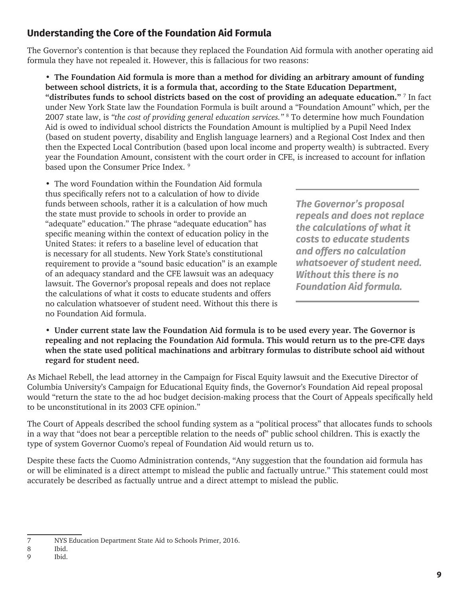# **Understanding the Core of the Foundation Aid Formula**

The Governor's contention is that because they replaced the Foundation Aid formula with another operating aid formula they have not repealed it. However, this is fallacious for two reasons:

**• The Foundation Aid formula is more than a method for dividing an arbitrary amount of funding between school districts, it is a formula that, according to the State Education Department, "distributes funds to school districts based on the cost of providing an adequate education."** <sup>7</sup> In fact under New York State law the Foundation Formula is built around a "Foundation Amount" which, per the 2007 state law, is *"the cost of providing general education services."* <sup>8</sup> To determine how much Foundation Aid is owed to individual school districts the Foundation Amount is multiplied by a Pupil Need Index (based on student poverty, disability and English language learners) and a Regional Cost Index and then then the Expected Local Contribution (based upon local income and property wealth) is subtracted. Every year the Foundation Amount, consistent with the court order in CFE, is increased to account for inflation based upon the Consumer Price Index. 9

• The word Foundation within the Foundation Aid formula thus specifically refers not to a calculation of how to divide funds between schools, rather it is a calculation of how much the state must provide to schools in order to provide an "adequate" education." The phrase "adequate education" has specific meaning within the context of education policy in the United States: it refers to a baseline level of education that is necessary for all students. New York State's constitutional requirement to provide a "sound basic education" is an example of an adequacy standard and the CFE lawsuit was an adequacy lawsuit. The Governor's proposal repeals and does not replace the calculations of what it costs to educate students and offers no calculation whatsoever of student need. Without this there is no Foundation Aid formula.

*The Governor's proposal repeals and does not replace the calculations of what it costs to educate students and offers no calculation whatsoever of student need. Without this there is no Foundation Aid formula.*

**• Under current state law the Foundation Aid formula is to be used every year. The Governor is repealing and not replacing the Foundation Aid formula. This would return us to the pre-CFE days when the state used political machinations and arbitrary formulas to distribute school aid without regard for student need.**

As Michael Rebell, the lead attorney in the Campaign for Fiscal Equity lawsuit and the Executive Director of Columbia University's Campaign for Educational Equity finds, the Governor's Foundation Aid repeal proposal would "return the state to the ad hoc budget decision-making process that the Court of Appeals specifically held to be unconstitutional in its 2003 CFE opinion."

The Court of Appeals described the school funding system as a "political process" that allocates funds to schools in a way that "does not bear a perceptible relation to the needs of" public school children. This is exactly the type of system Governor Cuomo's repeal of Foundation Aid would return us to.

Despite these facts the Cuomo Administration contends, "Any suggestion that the foundation aid formula has or will be eliminated is a direct attempt to mislead the public and factually untrue." This statement could most accurately be described as factually untrue and a direct attempt to mislead the public.

<sup>7</sup> NYS Education Department State Aid to Schools Primer, 2016.

<sup>8</sup> Ibid.

<sup>9</sup> Ibid.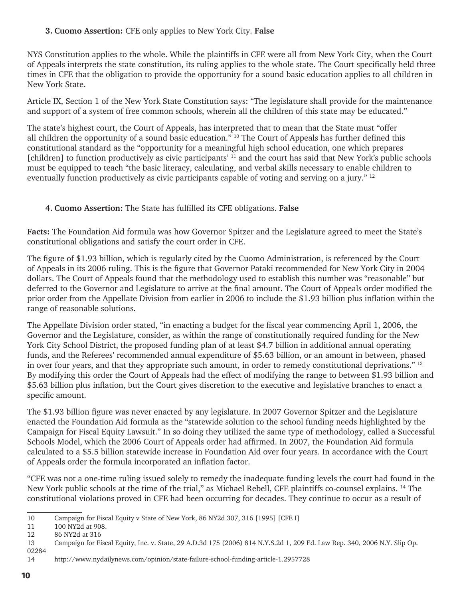#### **3. Cuomo Assertion:** CFE only applies to New York City. **False**

NYS Constitution applies to the whole. While the plaintiffs in CFE were all from New York City, when the Court of Appeals interprets the state constitution, its ruling applies to the whole state. The Court specifically held three times in CFE that the obligation to provide the opportunity for a sound basic education applies to all children in New York State.

Article IX, Section 1 of the New York State Constitution says: "The legislature shall provide for the maintenance and support of a system of free common schools, wherein all the children of this state may be educated."

The state's highest court, the Court of Appeals, has interpreted that to mean that the State must "offer all children the opportunity of a sound basic education." <sup>10</sup> The Court of Appeals has further defined this constitutional standard as the "opportunity for a meaningful high school education, one which prepares [children] to function productively as civic participants' <sup>11</sup> and the court has said that New York's public schools must be equipped to teach "the basic literacy, calculating, and verbal skills necessary to enable children to eventually function productively as civic participants capable of voting and serving on a jury." <sup>12</sup>

#### **4. Cuomo Assertion:** The State has fulfilled its CFE obligations. **False**

**Facts:** The Foundation Aid formula was how Governor Spitzer and the Legislature agreed to meet the State's constitutional obligations and satisfy the court order in CFE.

The figure of \$1.93 billion, which is regularly cited by the Cuomo Administration, is referenced by the Court of Appeals in its 2006 ruling. This is the figure that Governor Pataki recommended for New York City in 2004 dollars. The Court of Appeals found that the methodology used to establish this number was "reasonable" but deferred to the Governor and Legislature to arrive at the final amount. The Court of Appeals order modified the prior order from the Appellate Division from earlier in 2006 to include the \$1.93 billion plus inflation within the range of reasonable solutions.

The Appellate Division order stated, "in enacting a budget for the fiscal year commencing April 1, 2006, the Governor and the Legislature, consider, as within the range of constitutionally required funding for the New York City School District, the proposed funding plan of at least \$4.7 billion in additional annual operating funds, and the Referees' recommended annual expenditure of \$5.63 billion, or an amount in between, phased in over four years, and that they appropriate such amount, in order to remedy constitutional deprivations." 13 By modifying this order the Court of Appeals had the effect of modifying the range to between \$1.93 billion and \$5.63 billion plus inflation, but the Court gives discretion to the executive and legislative branches to enact a specific amount.

The \$1.93 billion figure was never enacted by any legislature. In 2007 Governor Spitzer and the Legislature enacted the Foundation Aid formula as the "statewide solution to the school funding needs highlighted by the Campaign for Fiscal Equity Lawsuit." In so doing they utilized the same type of methodology, called a Successful Schools Model, which the 2006 Court of Appeals order had affirmed. In 2007, the Foundation Aid formula calculated to a \$5.5 billion statewide increase in Foundation Aid over four years. In accordance with the Court of Appeals order the formula incorporated an inflation factor.

"CFE was not a one-time ruling issued solely to remedy the inadequate funding levels the court had found in the New York public schools at the time of the trial," as Michael Rebell, CFE plaintiffs co-counsel explains. 14 The constitutional violations proved in CFE had been occurring for decades. They continue to occur as a result of

<sup>10</sup> Campaign for Fiscal Equity v State of New York, 86 NY2d 307, 316 [1995] [CFE I]

<sup>11 100</sup> NY2d at 908.

<sup>12</sup> 86 NY2d at 316

<sup>13</sup> Campaign for Fiscal Equity, Inc. v. State, 29 A.D.3d 175 (2006) 814 N.Y.S.2d 1, 209 Ed. Law Rep. 340, 2006 N.Y. Slip Op. 02284

<sup>14</sup> http://www.nydailynews.com/opinion/state-failure-school-funding-article-1.2957728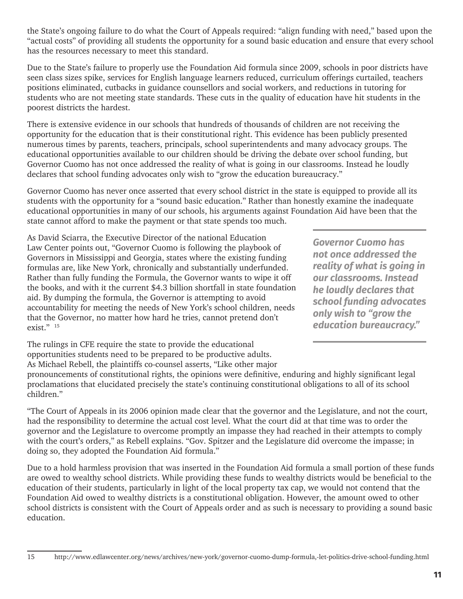the State's ongoing failure to do what the Court of Appeals required: "align funding with need," based upon the "actual costs" of providing all students the opportunity for a sound basic education and ensure that every school has the resources necessary to meet this standard.

Due to the State's failure to properly use the Foundation Aid formula since 2009, schools in poor districts have seen class sizes spike, services for English language learners reduced, curriculum offerings curtailed, teachers positions eliminated, cutbacks in guidance counsellors and social workers, and reductions in tutoring for students who are not meeting state standards. These cuts in the quality of education have hit students in the poorest districts the hardest.

There is extensive evidence in our schools that hundreds of thousands of children are not receiving the opportunity for the education that is their constitutional right. This evidence has been publicly presented numerous times by parents, teachers, principals, school superintendents and many advocacy groups. The educational opportunities available to our children should be driving the debate over school funding, but Governor Cuomo has not once addressed the reality of what is going in our classrooms. Instead he loudly declares that school funding advocates only wish to "grow the education bureaucracy."

Governor Cuomo has never once asserted that every school district in the state is equipped to provide all its students with the opportunity for a "sound basic education." Rather than honestly examine the inadequate educational opportunities in many of our schools, his arguments against Foundation Aid have been that the state cannot afford to make the payment or that state spends too much.

As David Sciarra, the Executive Director of the national Education Law Center points out, "Governor Cuomo is following the playbook of Governors in Mississippi and Georgia, states where the existing funding formulas are, like New York, chronically and substantially underfunded. Rather than fully funding the Formula, the Governor wants to wipe it off the books, and with it the current \$4.3 billion shortfall in state foundation aid. By dumping the formula, the Governor is attempting to avoid accountability for meeting the needs of New York's school children, needs that the Governor, no matter how hard he tries, cannot pretend don't exist." $15$ 

*Governor Cuomo has not once addressed the reality of what is going in our classrooms. Instead he loudly declares that school funding advocates only wish to "grow the education bureaucracy."* 

The rulings in CFE require the state to provide the educational opportunities students need to be prepared to be productive adults. As Michael Rebell, the plaintiffs co-counsel asserts, "Like other major

pronouncements of constitutional rights, the opinions were definitive, enduring and highly significant legal proclamations that elucidated precisely the state's continuing constitutional obligations to all of its school children."

"The Court of Appeals in its 2006 opinion made clear that the governor and the Legislature, and not the court, had the responsibility to determine the actual cost level. What the court did at that time was to order the governor and the Legislature to overcome promptly an impasse they had reached in their attempts to comply with the court's orders," as Rebell explains. "Gov. Spitzer and the Legislature did overcome the impasse; in doing so, they adopted the Foundation Aid formula."

Due to a hold harmless provision that was inserted in the Foundation Aid formula a small portion of these funds are owed to wealthy school districts. While providing these funds to wealthy districts would be beneficial to the education of their students, particularly in light of the local property tax cap, we would not contend that the Foundation Aid owed to wealthy districts is a constitutional obligation. However, the amount owed to other school districts is consistent with the Court of Appeals order and as such is necessary to providing a sound basic education.

<sup>15</sup> http://www.edlawcenter.org/news/archives/new-york/governor-cuomo-dump-formula,-let-politics-drive-school-funding.html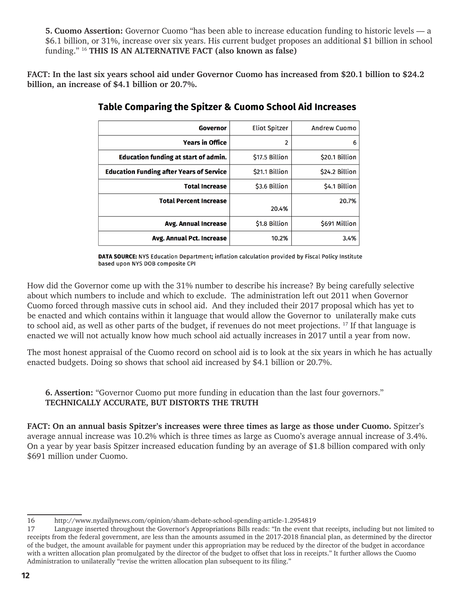**5. Cuomo Assertion:** Governor Cuomo "has been able to increase education funding to historic levels — a \$6.1 billion, or 31%, increase over six years. His current budget proposes an additional \$1 billion in school funding." 16 **THIS IS AN ALTERNATIVE FACT (also known as false)**

**FACT: In the last six years school aid under Governor Cuomo has increased from \$20.1 billion to \$24.2 billion, an increase of \$4.1 billion or 20.7%.**

| Governor                                        | <b>Eliot Spitzer</b> | <b>Andrew Cuomo</b> |
|-------------------------------------------------|----------------------|---------------------|
| <b>Years in Office</b>                          | 2                    | 6                   |
| Education funding at start of admin.            | \$17.5 Billion       | \$20.1 Billion      |
| <b>Education Funding after Years of Service</b> | \$21.1 Billion       | \$24.2 Billion      |
| <b>Total Increase</b>                           | \$3.6 Billion        | \$4.1 Billion       |
| <b>Total Percent Increase</b>                   | 20.4%                | 20.7%               |
| <b>Avg. Annual Increase</b>                     | \$1.8 Billion        | \$691 Million       |
| Avg. Annual Pct. Increase                       | 10.2%                | 3.4%                |

# Table Comparing the Spitzer & Cuomo School Aid Increases

DATA SOURCE: NYS Education Department; inflation calculation provided by Fiscal Policy Institute based upon NYS DOB composite CPI

How did the Governor come up with the 31% number to describe his increase? By being carefully selective about which numbers to include and which to exclude. The administration left out 2011 when Governor Cuomo forced through massive cuts in school aid. And they included their 2017 proposal which has yet to be enacted and which contains within it language that would allow the Governor to unilaterally make cuts to school aid, as well as other parts of the budget, if revenues do not meet projections. 17 If that language is enacted we will not actually know how much school aid actually increases in 2017 until a year from now.

The most honest appraisal of the Cuomo record on school aid is to look at the six years in which he has actually enacted budgets. Doing so shows that school aid increased by \$4.1 billion or 20.7%.

#### **6. Assertion:** "Governor Cuomo put more funding in education than the last four governors." **TECHNICALLY ACCURATE, BUT DISTORTS THE TRUTH**

**FACT: On an annual basis Spitzer's increases were three times as large as those under Cuomo.** Spitzer's average annual increase was 10.2% which is three times as large as Cuomo's average annual increase of 3.4%. On a year by year basis Spitzer increased education funding by an average of \$1.8 billion compared with only \$691 million under Cuomo.

<sup>16</sup> http://www.nydailynews.com/opinion/sham-debate-school-spending-article-1.2954819

<sup>17</sup> Language inserted throughout the Governor's Appropriations Bills reads: "In the event that receipts, including but not limited to receipts from the federal government, are less than the amounts assumed in the 2017-2018 financial plan, as determined by the director of the budget, the amount available for payment under this appropriation may be reduced by the director of the budget in accordance with a written allocation plan promulgated by the director of the budget to offset that loss in receipts." It further allows the Cuomo Administration to unilaterally "revise the written allocation plan subsequent to its filing."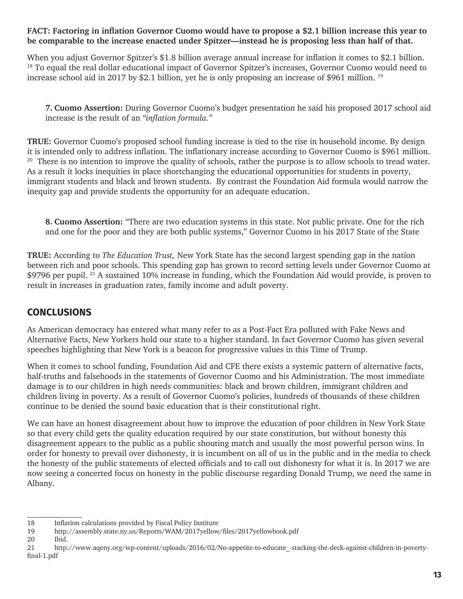#### **FACT: Factoring in inflation Governor Cuomo would have to propose a \$2.1 billion increase this year to be comparable to the increase enacted under Spitzer—instead he is proposing less than half of that.**

When you adjust Governor Spitzer's \$1.8 billion average annual increase for inflation it comes to \$2.1 billion. <sup>18</sup> To equal the real dollar educational impact of Governor Spitzer's increases, Governor Cuomo would need to increase school aid in 2017 by \$2.1 billion, yet he is only proposing an increase of \$961 million. 19

**7. Cuomo Assertion:** During Governor Cuomo's budget presentation he said his proposed 2017 school aid increase is the result of an *"inflation formula."*

**TRUE:** Governor Cuomo's proposed school funding increase is tied to the rise in household income. By design it is intended only to address inflation. The inflationary increase according to Governor Cuomo is \$961 million.  $20$  There is no intention to improve the quality of schools, rather the purpose is to allow schools to tread water. As a result it locks inequities in place shortchanging the educational opportunities for students in poverty, immigrant students and black and brown students. By contrast the Foundation Aid formula would narrow the inequity gap and provide students the opportunity for an adequate education.

**8. Cuomo Assertion:** "There are two education systems in this state. Not public private. One for the rich and one for the poor and they are both public systems," Governor Cuomo in his 2017 State of the State

**TRUE:** According to *The Education Trust,* New York State has the second largest spending gap in the nation between rich and poor schools. This spending gap has grown to record setting levels under Governor Cuomo at \$9796 per pupil. <sup>21</sup> A sustained 10% increase in funding, which the Foundation Aid would provide, is proven to result in increases in graduation rates, family income and adult poverty.

# **CONCLUSIONS**

As American democracy has entered what many refer to as a Post-Fact Era polluted with Fake News and Alternative Facts, New Yorkers hold our state to a higher standard. In fact Governor Cuomo has given several speeches highlighting that New York is a beacon for progressive values in this Time of Trump.

When it comes to school funding, Foundation Aid and CFE there exists a systemic pattern of alternative facts, half-truths and falsehoods in the statements of Governor Cuomo and his Administration. The most immediate damage is to our children in high needs communities: black and brown children, immigrant children and children living in poverty. As a result of Governor Cuomo's policies, hundreds of thousands of these children continue to be denied the sound basic education that is their constitutional right.

We can have an honest disagreement about how to improve the education of poor children in New York State so that every child gets the quality education required by our state constitution, but without honesty this disagreement appears to the public as a public shouting match and usually the most powerful person wins. In order for honesty to prevail over dishonesty, it is incumbent on all of us in the public and in the media to check the honesty of the public statements of elected officials and to call out dishonesty for what it is. In 2017 we are now seeing a concerted focus on honesty in the public discourse regarding Donald Trump, we need the same in Albany.

<sup>18</sup> Inflation calculations provided by Fiscal Policy Institute

<sup>19</sup> http://assembly.state.ny.us/Reports/WAM/2017yellow/files/2017yellowbook.pdf

<sup>20</sup> Ibid.

<sup>21</sup> http://www.aqeny.org/wp-content/uploads/2016/02/No-appetite-to-educate\_-stacking-the-deck-against-children-in-povertyfinal-1.pdf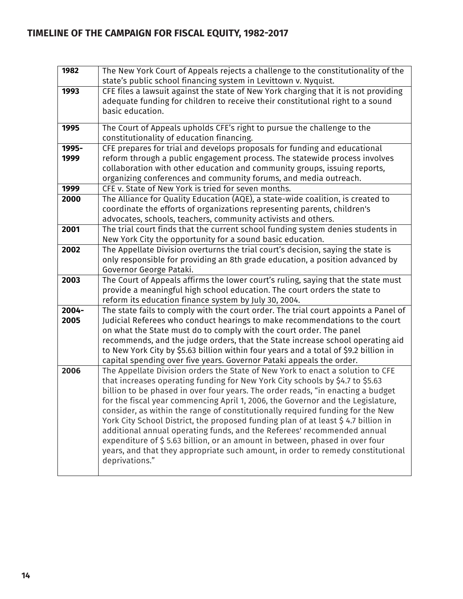| 1982          | The New York Court of Appeals rejects a challenge to the constitutionality of the<br>state's public school financing system in Levittown v. Nyquist.                                                                                                                                                                                                                                                                                                                                                                                                                                                                                                                                                                                                                       |
|---------------|----------------------------------------------------------------------------------------------------------------------------------------------------------------------------------------------------------------------------------------------------------------------------------------------------------------------------------------------------------------------------------------------------------------------------------------------------------------------------------------------------------------------------------------------------------------------------------------------------------------------------------------------------------------------------------------------------------------------------------------------------------------------------|
| 1993          | CFE files a lawsuit against the state of New York charging that it is not providing<br>adequate funding for children to receive their constitutional right to a sound<br>basic education.                                                                                                                                                                                                                                                                                                                                                                                                                                                                                                                                                                                  |
| 1995          | The Court of Appeals upholds CFE's right to pursue the challenge to the<br>constitutionality of education financing.                                                                                                                                                                                                                                                                                                                                                                                                                                                                                                                                                                                                                                                       |
| 1995-<br>1999 | CFE prepares for trial and develops proposals for funding and educational<br>reform through a public engagement process. The statewide process involves<br>collaboration with other education and community groups, issuing reports,<br>organizing conferences and community forums, and media outreach.                                                                                                                                                                                                                                                                                                                                                                                                                                                                   |
| 1999<br>2000  | CFE v. State of New York is tried for seven months.<br>The Alliance for Quality Education (AQE), a state-wide coalition, is created to<br>coordinate the efforts of organizations representing parents, children's<br>advocates, schools, teachers, community activists and others.                                                                                                                                                                                                                                                                                                                                                                                                                                                                                        |
| 2001          | The trial court finds that the current school funding system denies students in<br>New York City the opportunity for a sound basic education.                                                                                                                                                                                                                                                                                                                                                                                                                                                                                                                                                                                                                              |
| 2002          | The Appellate Division overturns the trial court's decision, saying the state is<br>only responsible for providing an 8th grade education, a position advanced by<br>Governor George Pataki.                                                                                                                                                                                                                                                                                                                                                                                                                                                                                                                                                                               |
| 2003          | The Court of Appeals affirms the lower court's ruling, saying that the state must<br>provide a meaningful high school education. The court orders the state to<br>reform its education finance system by July 30, 2004.                                                                                                                                                                                                                                                                                                                                                                                                                                                                                                                                                    |
| 2004-<br>2005 | The state fails to comply with the court order. The trial court appoints a Panel of<br>Judicial Referees who conduct hearings to make recommendations to the court<br>on what the State must do to comply with the court order. The panel<br>recommends, and the judge orders, that the State increase school operating aid<br>to New York City by \$5.63 billion within four years and a total of \$9.2 billion in<br>capital spending over five years. Governor Pataki appeals the order.                                                                                                                                                                                                                                                                                |
| 2006          | The Appellate Division orders the State of New York to enact a solution to CFE<br>that increases operating funding for New York City schools by \$4.7 to \$5.63<br>billion to be phased in over four years. The order reads, "in enacting a budget<br>for the fiscal year commencing April 1, 2006, the Governor and the Legislature<br>consider, as within the range of constitutionally required funding for the New<br>York City School District, the proposed funding plan of at least \$4.7 billion in<br>additional annual operating funds, and the Referees' recommended annual<br>expenditure of \$5.63 billion, or an amount in between, phased in over four<br>years, and that they appropriate such amount, in order to remedy constitutional<br>deprivations." |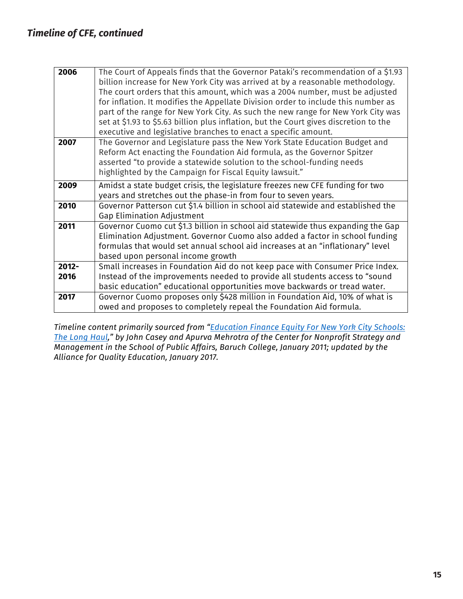| 2006             | The Court of Appeals finds that the Governor Pataki's recommendation of a \$1.93<br>billion increase for New York City was arrived at by a reasonable methodology.<br>The court orders that this amount, which was a 2004 number, must be adjusted<br>for inflation. It modifies the Appellate Division order to include this number as<br>part of the range for New York City. As such the new range for New York City was<br>set at \$1.93 to \$5.63 billion plus inflation, but the Court gives discretion to the<br>executive and legislative branches to enact a specific amount. |
|------------------|----------------------------------------------------------------------------------------------------------------------------------------------------------------------------------------------------------------------------------------------------------------------------------------------------------------------------------------------------------------------------------------------------------------------------------------------------------------------------------------------------------------------------------------------------------------------------------------|
| 2007             | The Governor and Legislature pass the New York State Education Budget and<br>Reform Act enacting the Foundation Aid formula, as the Governor Spitzer<br>asserted "to provide a statewide solution to the school-funding needs<br>highlighted by the Campaign for Fiscal Equity lawsuit."                                                                                                                                                                                                                                                                                               |
| 2009             | Amidst a state budget crisis, the legislature freezes new CFE funding for two<br>years and stretches out the phase-in from four to seven years.                                                                                                                                                                                                                                                                                                                                                                                                                                        |
| 2010             | Governor Patterson cut \$1.4 billion in school aid statewide and established the<br>Gap Elimination Adjustment                                                                                                                                                                                                                                                                                                                                                                                                                                                                         |
| 2011             | Governor Cuomo cut \$1.3 billion in school aid statewide thus expanding the Gap<br>Elimination Adjustment. Governor Cuomo also added a factor in school funding<br>formulas that would set annual school aid increases at an "inflationary" level<br>based upon personal income growth                                                                                                                                                                                                                                                                                                 |
| $2012 -$<br>2016 | Small increases in Foundation Aid do not keep pace with Consumer Price Index.<br>Instead of the improvements needed to provide all students access to "sound<br>basic education" educational opportunities move backwards or tread water.                                                                                                                                                                                                                                                                                                                                              |
| 2017             | Governor Cuomo proposes only \$428 million in Foundation Aid, 10% of what is<br>owed and proposes to completely repeal the Foundation Aid formula.                                                                                                                                                                                                                                                                                                                                                                                                                                     |

*Timeline content primarily sourced from "Education Finance Equity For New York City Schools: The Long Haul," by John Casey and Apurva Mehrotra of the Center for Nonprofit Strategy and Management in the School of Public Affairs, Baruch College, January 2011; updated by the Alliance for Quality Education, January 2017.*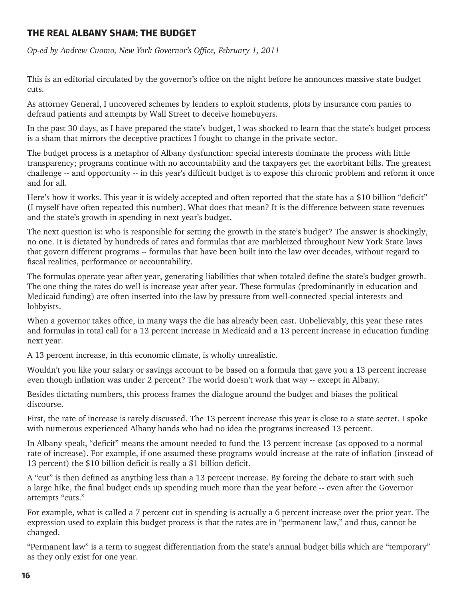# **THE REAL ALBANY SHAM: THE BUDGET**

*Op-ed by Andrew Cuomo, New York Governor's Office, February 1, 2011*

This is an editorial circulated by the governor's office on the night before he announces massive state budget cuts.

As attorney General, I uncovered schemes by lenders to exploit students, plots by insurance com panies to defraud patients and attempts by Wall Street to deceive homebuyers.

In the past 30 days, as I have prepared the state's budget, I was shocked to learn that the state's budget process is a sham that mirrors the deceptive practices I fought to change in the private sector.

The budget process is a metaphor of Albany dysfunction: special interests dominate the process with little transparency; programs continue with no accountability and the taxpayers get the exorbitant bills. The greatest challenge -- and opportunity -- in this year's difficult budget is to expose this chronic problem and reform it once and for all.

Here's how it works. This year it is widely accepted and often reported that the state has a \$10 billion "deficit" (I myself have often repeated this number). What does that mean? It is the difference between state revenues and the state's growth in spending in next year's budget.

The next question is: who is responsible for setting the growth in the state's budget? The answer is shockingly, no one. It is dictated by hundreds of rates and formulas that are marbleized throughout New York State laws that govern different programs -- formulas that have been built into the law over decades, without regard to fiscal realities, performance or accountability.

The formulas operate year after year, generating liabilities that when totaled define the state's budget growth. The one thing the rates do well is increase year after year. These formulas (predominantly in education and Medicaid funding) are often inserted into the law by pressure from well-connected special interests and lobbyists.

When a governor takes office, in many ways the die has already been cast. Unbelievably, this year these rates and formulas in total call for a 13 percent increase in Medicaid and a 13 percent increase in education funding next year.

A 13 percent increase, in this economic climate, is wholly unrealistic.

Wouldn't you like your salary or savings account to be based on a formula that gave you a 13 percent increase even though inflation was under 2 percent? The world doesn't work that way -- except in Albany.

Besides dictating numbers, this process frames the dialogue around the budget and biases the political discourse.

First, the rate of increase is rarely discussed. The 13 percent increase this year is close to a state secret. I spoke with numerous experienced Albany hands who had no idea the programs increased 13 percent.

In Albany speak, "deficit" means the amount needed to fund the 13 percent increase (as opposed to a normal rate of increase). For example, if one assumed these programs would increase at the rate of inflation (instead of 13 percent) the \$10 billion deficit is really a \$1 billion deficit.

A "cut" is then defined as anything less than a 13 percent increase. By forcing the debate to start with such a large hike, the final budget ends up spending much more than the year before -- even after the Governor attempts "cuts."

For example, what is called a 7 percent cut in spending is actually a 6 percent increase over the prior year. The expression used to explain this budget process is that the rates are in "permanent law," and thus, cannot be changed.

"Permanent law" is a term to suggest differentiation from the state's annual budget bills which are "temporary" as they only exist for one year.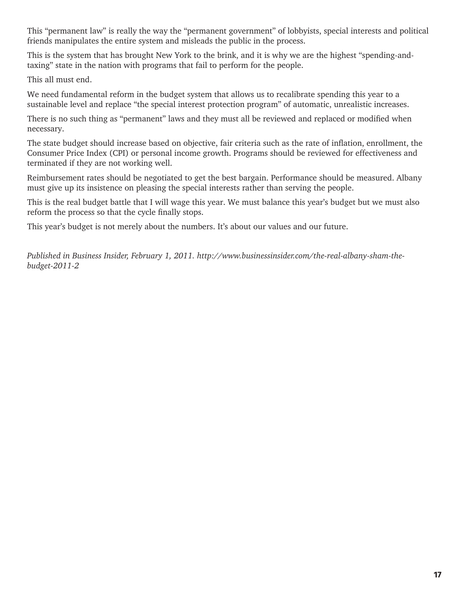This "permanent law" is really the way the "permanent government" of lobbyists, special interests and political friends manipulates the entire system and misleads the public in the process.

This is the system that has brought New York to the brink, and it is why we are the highest "spending-andtaxing" state in the nation with programs that fail to perform for the people.

This all must end.

We need fundamental reform in the budget system that allows us to recalibrate spending this year to a sustainable level and replace "the special interest protection program" of automatic, unrealistic increases.

There is no such thing as "permanent" laws and they must all be reviewed and replaced or modified when necessary.

The state budget should increase based on objective, fair criteria such as the rate of inflation, enrollment, the Consumer Price Index (CPI) or personal income growth. Programs should be reviewed for effectiveness and terminated if they are not working well.

Reimbursement rates should be negotiated to get the best bargain. Performance should be measured. Albany must give up its insistence on pleasing the special interests rather than serving the people.

This is the real budget battle that I will wage this year. We must balance this year's budget but we must also reform the process so that the cycle finally stops.

This year's budget is not merely about the numbers. It's about our values and our future.

*Published in Business Insider, February 1, 2011. http://www.businessinsider.com/the-real-albany-sham-thebudget-2011-2*